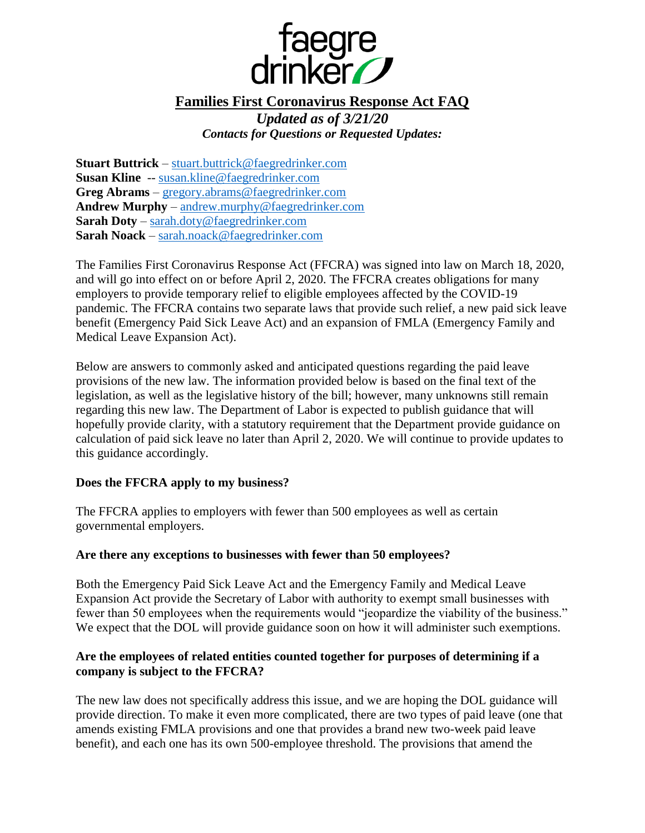

# **Families First Coronavirus Response Act FAQ** *Updated as of 3/21/20 Contacts for Questions or Requested Updates:*

**Stuart Buttrick** – [stuart.buttrick@faegredrinker.com](mailto:stuart.buttrick@faegredrinker.com) **Susan Kline** -- [susan.kline@faegredrinker.com](mailto:susan.kline@faegredrinker.com) **Greg Abrams** – [gregory.abrams@faegredrinker.com](mailto:gregory.abrams@faegredrinker.com) **Andrew Murphy** – [andrew.murphy@faegredrinker.com](mailto:andrew.murphy@faegredrinker.com) **Sarah Doty** – [sarah.doty@faegredrinker.com](mailto:sarah.doty@faegredrinker.com) **Sarah Noack** – [sarah.noack@faegredrinker.com](mailto:sarah.noack@faegredrinker.com)

The Families First Coronavirus Response Act (FFCRA) was signed into law on March 18, 2020, and will go into effect on or before April 2, 2020. The FFCRA creates obligations for many employers to provide temporary relief to eligible employees affected by the COVID-19 pandemic. The FFCRA contains two separate laws that provide such relief, a new paid sick leave benefit (Emergency Paid Sick Leave Act) and an expansion of FMLA (Emergency Family and Medical Leave Expansion Act).

Below are answers to commonly asked and anticipated questions regarding the paid leave provisions of the new law. The information provided below is based on the final text of the legislation, as well as the legislative history of the bill; however, many unknowns still remain regarding this new law. The Department of Labor is expected to publish guidance that will hopefully provide clarity, with a statutory requirement that the Department provide guidance on calculation of paid sick leave no later than April 2, 2020. We will continue to provide updates to this guidance accordingly.

## **Does the FFCRA apply to my business?**

The FFCRA applies to employers with fewer than 500 employees as well as certain governmental employers.

#### **Are there any exceptions to businesses with fewer than 50 employees?**

Both the Emergency Paid Sick Leave Act and the Emergency Family and Medical Leave Expansion Act provide the Secretary of Labor with authority to exempt small businesses with fewer than 50 employees when the requirements would "jeopardize the viability of the business." We expect that the DOL will provide guidance soon on how it will administer such exemptions.

### **Are the employees of related entities counted together for purposes of determining if a company is subject to the FFCRA?**

The new law does not specifically address this issue, and we are hoping the DOL guidance will provide direction. To make it even more complicated, there are two types of paid leave (one that amends existing FMLA provisions and one that provides a brand new two-week paid leave benefit), and each one has its own 500-employee threshold. The provisions that amend the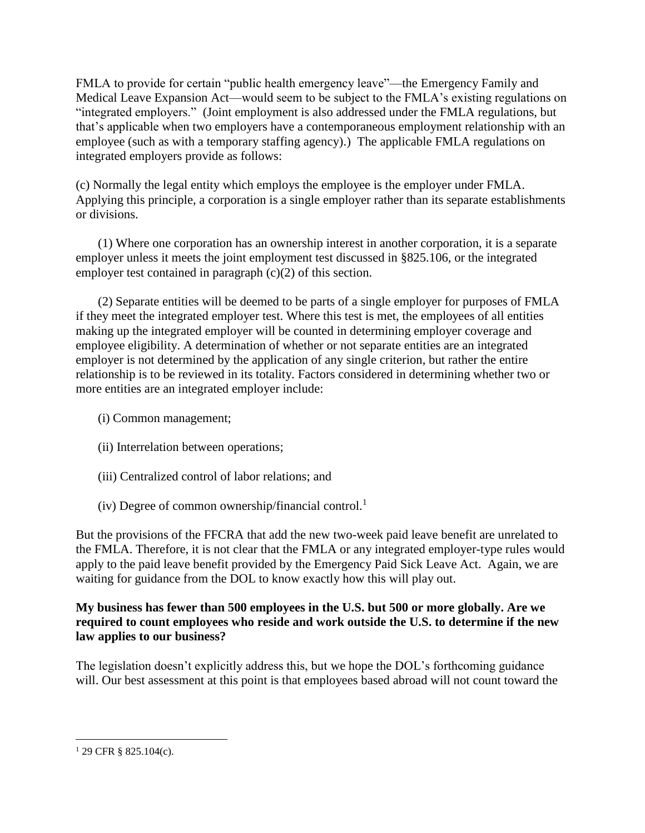FMLA to provide for certain "public health emergency leave"—the Emergency Family and Medical Leave Expansion Act—would seem to be subject to the FMLA's existing regulations on "integrated employers." (Joint employment is also addressed under the FMLA regulations, but that's applicable when two employers have a contemporaneous employment relationship with an employee (such as with a temporary staffing agency).) The applicable FMLA regulations on integrated employers provide as follows:

(c) Normally the legal entity which employs the employee is the employer under FMLA. Applying this principle, a corporation is a single employer rather than its separate establishments or divisions.

(1) Where one corporation has an ownership interest in another corporation, it is a separate employer unless it meets the joint employment test discussed in §825.106, or the integrated employer test contained in paragraph (c)(2) of this section.

(2) Separate entities will be deemed to be parts of a single employer for purposes of FMLA if they meet the integrated employer test. Where this test is met, the employees of all entities making up the integrated employer will be counted in determining employer coverage and employee eligibility. A determination of whether or not separate entities are an integrated employer is not determined by the application of any single criterion, but rather the entire relationship is to be reviewed in its totality. Factors considered in determining whether two or more entities are an integrated employer include:

- (i) Common management;
- (ii) Interrelation between operations;
- (iii) Centralized control of labor relations; and
- (iv) Degree of common ownership/financial control.<sup>1</sup>

But the provisions of the FFCRA that add the new two-week paid leave benefit are unrelated to the FMLA. Therefore, it is not clear that the FMLA or any integrated employer-type rules would apply to the paid leave benefit provided by the Emergency Paid Sick Leave Act. Again, we are waiting for guidance from the DOL to know exactly how this will play out.

## **My business has fewer than 500 employees in the U.S. but 500 or more globally. Are we required to count employees who reside and work outside the U.S. to determine if the new law applies to our business?**

The legislation doesn't explicitly address this, but we hope the DOL's forthcoming guidance will. Our best assessment at this point is that employees based abroad will not count toward the

 $\overline{a}$  $129$  CFR § 825.104(c).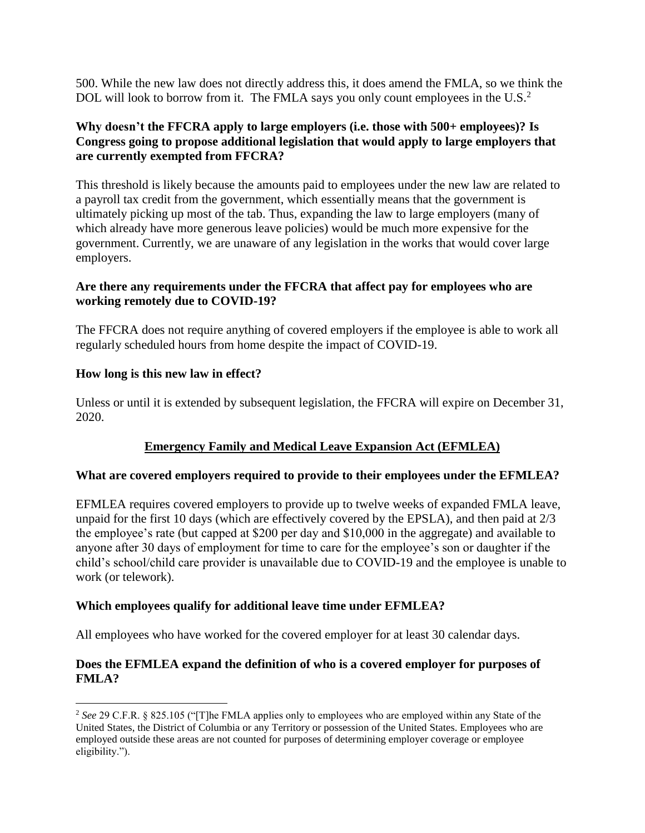500. While the new law does not directly address this, it does amend the FMLA, so we think the DOL will look to borrow from it. The FMLA says you only count employees in the U.S.<sup>2</sup>

## **Why doesn't the FFCRA apply to large employers (i.e. those with 500+ employees)? Is Congress going to propose additional legislation that would apply to large employers that are currently exempted from FFCRA?**

This threshold is likely because the amounts paid to employees under the new law are related to a payroll tax credit from the government, which essentially means that the government is ultimately picking up most of the tab. Thus, expanding the law to large employers (many of which already have more generous leave policies) would be much more expensive for the government. Currently, we are unaware of any legislation in the works that would cover large employers.

### **Are there any requirements under the FFCRA that affect pay for employees who are working remotely due to COVID-19?**

The FFCRA does not require anything of covered employers if the employee is able to work all regularly scheduled hours from home despite the impact of COVID-19.

## **How long is this new law in effect?**

Unless or until it is extended by subsequent legislation, the FFCRA will expire on December 31, 2020.

# **Emergency Family and Medical Leave Expansion Act (EFMLEA)**

## **What are covered employers required to provide to their employees under the EFMLEA?**

EFMLEA requires covered employers to provide up to twelve weeks of expanded FMLA leave, unpaid for the first 10 days (which are effectively covered by the EPSLA), and then paid at 2/3 the employee's rate (but capped at \$200 per day and \$10,000 in the aggregate) and available to anyone after 30 days of employment for time to care for the employee's son or daughter if the child's school/child care provider is unavailable due to COVID-19 and the employee is unable to work (or telework).

# **Which employees qualify for additional leave time under EFMLEA?**

All employees who have worked for the covered employer for at least 30 calendar days.

## **Does the EFMLEA expand the definition of who is a covered employer for purposes of FMLA?**

 $\overline{a}$ <sup>2</sup> See 29 C.F.R. § 825.105 ("[T]he FMLA applies only to employees who are employed within any State of the United States, the District of Columbia or any Territory or possession of the United States. Employees who are employed outside these areas are not counted for purposes of determining employer coverage or employee eligibility.").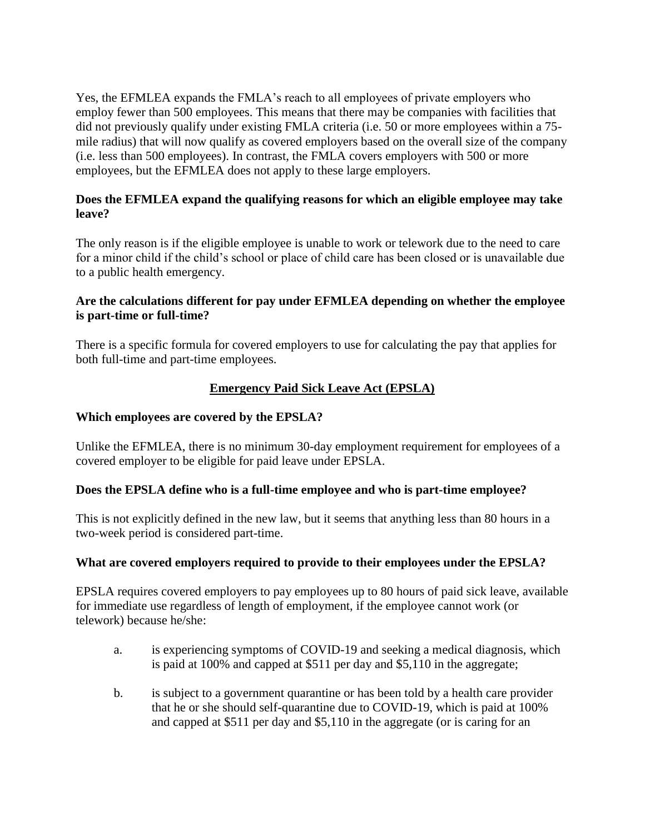Yes, the EFMLEA expands the FMLA's reach to all employees of private employers who employ fewer than 500 employees. This means that there may be companies with facilities that did not previously qualify under existing FMLA criteria (i.e. 50 or more employees within a 75 mile radius) that will now qualify as covered employers based on the overall size of the company (i.e. less than 500 employees). In contrast, the FMLA covers employers with 500 or more employees, but the EFMLEA does not apply to these large employers.

## **Does the EFMLEA expand the qualifying reasons for which an eligible employee may take leave?**

The only reason is if the eligible employee is unable to work or telework due to the need to care for a minor child if the child's school or place of child care has been closed or is unavailable due to a public health emergency.

### **Are the calculations different for pay under EFMLEA depending on whether the employee is part-time or full-time?**

There is a specific formula for covered employers to use for calculating the pay that applies for both full-time and part-time employees.

## **Emergency Paid Sick Leave Act (EPSLA)**

### **Which employees are covered by the EPSLA?**

Unlike the EFMLEA, there is no minimum 30-day employment requirement for employees of a covered employer to be eligible for paid leave under EPSLA.

## **Does the EPSLA define who is a full-time employee and who is part-time employee?**

This is not explicitly defined in the new law, but it seems that anything less than 80 hours in a two-week period is considered part-time.

#### **What are covered employers required to provide to their employees under the EPSLA?**

EPSLA requires covered employers to pay employees up to 80 hours of paid sick leave, available for immediate use regardless of length of employment, if the employee cannot work (or telework) because he/she:

- a. is experiencing symptoms of COVID-19 and seeking a medical diagnosis, which is paid at 100% and capped at \$511 per day and \$5,110 in the aggregate;
- b. is subject to a government quarantine or has been told by a health care provider that he or she should self-quarantine due to COVID-19, which is paid at 100% and capped at \$511 per day and \$5,110 in the aggregate (or is caring for an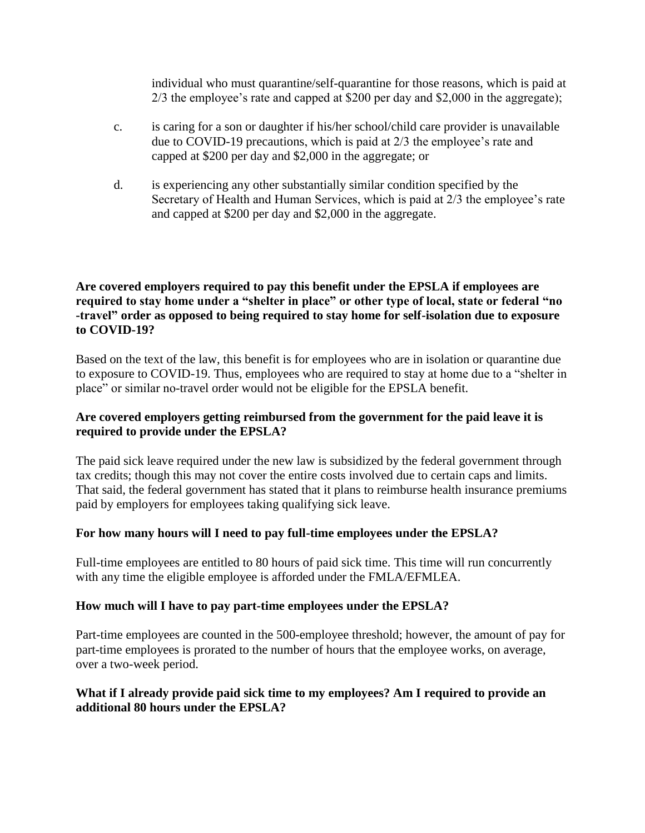individual who must quarantine/self-quarantine for those reasons, which is paid at 2/3 the employee's rate and capped at \$200 per day and \$2,000 in the aggregate);

- c. is caring for a son or daughter if his/her school/child care provider is unavailable due to COVID-19 precautions, which is paid at 2/3 the employee's rate and capped at \$200 per day and \$2,000 in the aggregate; or
- d. is experiencing any other substantially similar condition specified by the Secretary of Health and Human Services, which is paid at 2/3 the employee's rate and capped at \$200 per day and \$2,000 in the aggregate.

### **Are covered employers required to pay this benefit under the EPSLA if employees are required to stay home under a "shelter in place" or other type of local, state or federal "no -travel" order as opposed to being required to stay home for self-isolation due to exposure to COVID-19?**

Based on the text of the law, this benefit is for employees who are in isolation or quarantine due to exposure to COVID-19. Thus, employees who are required to stay at home due to a "shelter in place" or similar no-travel order would not be eligible for the EPSLA benefit.

## **Are covered employers getting reimbursed from the government for the paid leave it is required to provide under the EPSLA?**

The paid sick leave required under the new law is subsidized by the federal government through tax credits; though this may not cover the entire costs involved due to certain caps and limits. That said, the federal government has stated that it plans to reimburse health insurance premiums paid by employers for employees taking qualifying sick leave.

## **For how many hours will I need to pay full-time employees under the EPSLA?**

Full-time employees are entitled to 80 hours of paid sick time. This time will run concurrently with any time the eligible employee is afforded under the FMLA/EFMLEA.

#### **How much will I have to pay part-time employees under the EPSLA?**

Part-time employees are counted in the 500-employee threshold; however, the amount of pay for part-time employees is prorated to the number of hours that the employee works, on average, over a two-week period.

### **What if I already provide paid sick time to my employees? Am I required to provide an additional 80 hours under the EPSLA?**